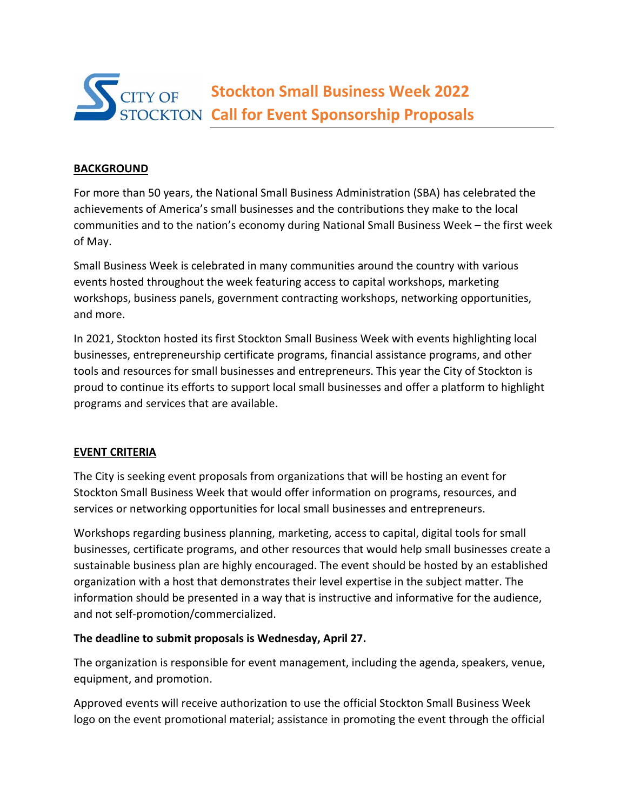

# **BACKGROUND**

For more than 50 years, the National Small Business Administration (SBA) has celebrated the achievements of America's small businesses and the contributions they make to the local communities and to the nation's economy during National Small Business Week – the first week of May.

Small Business Week is celebrated in many communities around the country with various events hosted throughout the week featuring access to capital workshops, marketing workshops, business panels, government contracting workshops, networking opportunities, and more.

In 2021, Stockton hosted its first Stockton Small Business Week with events highlighting local businesses, entrepreneurship certificate programs, financial assistance programs, and other tools and resources for small businesses and entrepreneurs. This year the City of Stockton is proud to continue its efforts to support local small businesses and offer a platform to highlight programs and services that are available.

### **EVENT CRITERIA**

The City is seeking event proposals from organizations that will be hosting an event for Stockton Small Business Week that would offer information on programs, resources, and services or networking opportunities for local small businesses and entrepreneurs.

Workshops regarding business planning, marketing, access to capital, digital tools for small businesses, certificate programs, and other resources that would help small businesses create a sustainable business plan are highly encouraged. The event should be hosted by an established organization with a host that demonstrates their level expertise in the subject matter. The information should be presented in a way that is instructive and informative for the audience, and not self-promotion/commercialized.

### **The deadline to submit proposals is Wednesday, April 27.**

The organization is responsible for event management, including the agenda, speakers, venue, equipment, and promotion.

Approved events will receive authorization to use the official Stockton Small Business Week logo on the event promotional material; assistance in promoting the event through the official